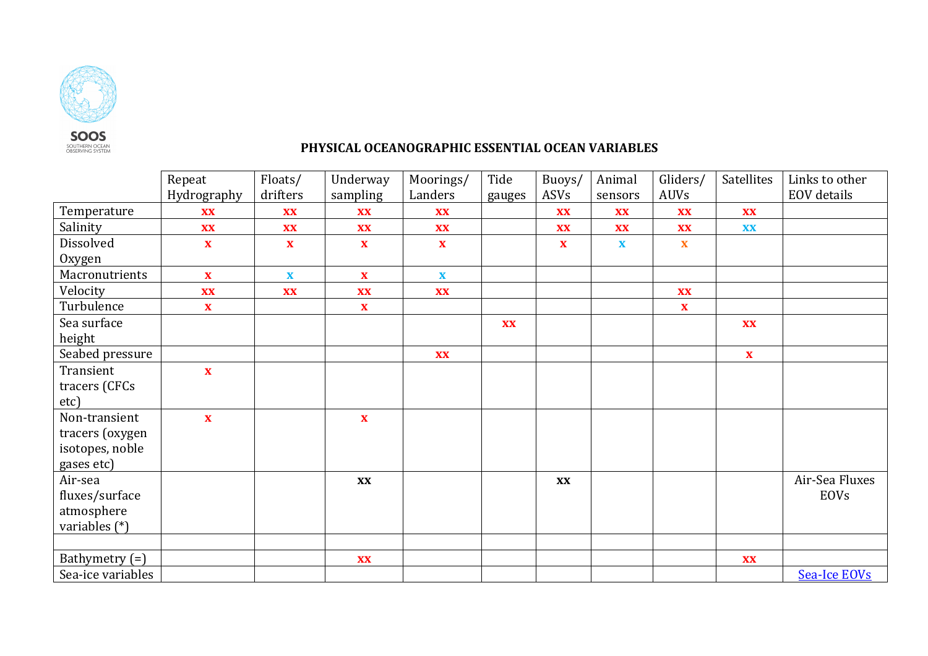

## **PHYSICAL OCEANOGRAPHIC ESSENTIAL OCEAN VARIABLES**

|                   | Repeat                    | Floats/      | Underway     | Moorings/    | Tide      | Buoys/                    | Animal       | Gliders/                  | <b>Satellites</b>         | Links to other |
|-------------------|---------------------------|--------------|--------------|--------------|-----------|---------------------------|--------------|---------------------------|---------------------------|----------------|
|                   | Hydrography               | drifters     | sampling     | Landers      | gauges    | ASVs                      | sensors      | <b>AUVs</b>               |                           | EOV details    |
| Temperature       | <b>XX</b>                 | <b>XX</b>    | <b>XX</b>    | <b>XX</b>    |           | <b>XX</b>                 | <b>XX</b>    | <b>XX</b>                 | <b>XX</b>                 |                |
| Salinity          | <b>XX</b>                 | <b>XX</b>    | <b>XX</b>    | <b>XX</b>    |           | <b>XX</b>                 | <b>XX</b>    | <b>XX</b>                 | <b>XX</b>                 |                |
| Dissolved         | $\mathbf{X}$              | $\mathbf{x}$ | $\mathbf{x}$ | $\mathbf{x}$ |           | $\boldsymbol{\mathrm{X}}$ | $\mathbf{x}$ | $\mathbf X$               |                           |                |
| Oxygen            |                           |              |              |              |           |                           |              |                           |                           |                |
| Macronutrients    | $\mathbf{X}$              | $\mathbf{x}$ | $\mathbf{x}$ | $\mathbf{x}$ |           |                           |              |                           |                           |                |
| Velocity          | <b>XX</b>                 | <b>XX</b>    | <b>XX</b>    | <b>XX</b>    |           |                           |              | <b>XX</b>                 |                           |                |
| Turbulence        | $\boldsymbol{\mathrm{X}}$ |              | $\mathbf{X}$ |              |           |                           |              | $\boldsymbol{\mathrm{X}}$ |                           |                |
| Sea surface       |                           |              |              |              | <b>XX</b> |                           |              |                           | <b>XX</b>                 |                |
| height            |                           |              |              |              |           |                           |              |                           |                           |                |
| Seabed pressure   |                           |              |              | <b>XX</b>    |           |                           |              |                           | $\boldsymbol{\mathrm{X}}$ |                |
| Transient         | $\mathbf X$               |              |              |              |           |                           |              |                           |                           |                |
| tracers (CFCs     |                           |              |              |              |           |                           |              |                           |                           |                |
| etc)              |                           |              |              |              |           |                           |              |                           |                           |                |
| Non-transient     | $\mathbf{x}$              |              | $\mathbf{X}$ |              |           |                           |              |                           |                           |                |
| tracers (oxygen   |                           |              |              |              |           |                           |              |                           |                           |                |
| isotopes, noble   |                           |              |              |              |           |                           |              |                           |                           |                |
| gases etc)        |                           |              |              |              |           |                           |              |                           |                           |                |
| Air-sea           |                           |              | XX           |              |           | XX                        |              |                           |                           | Air-Sea Fluxes |
| fluxes/surface    |                           |              |              |              |           |                           |              |                           |                           | EOVs           |
| atmosphere        |                           |              |              |              |           |                           |              |                           |                           |                |
| variables $(*)$   |                           |              |              |              |           |                           |              |                           |                           |                |
|                   |                           |              |              |              |           |                           |              |                           |                           |                |
| Bathymetry $(=)$  |                           |              | <b>XX</b>    |              |           |                           |              |                           | <b>XX</b>                 |                |
| Sea-ice variables |                           |              |              |              |           |                           |              |                           |                           | Sea-Ice EOVs   |